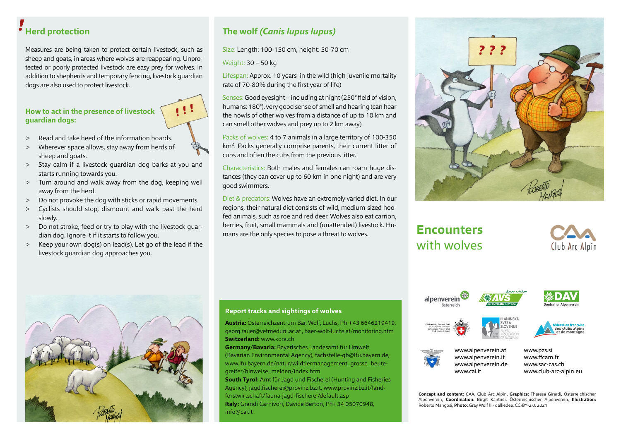# **Herd protection** *!*

Measures are being taken to protect certain livestock, such as sheep and goats, in areas where wolves are reappearing. Unprotected or poorly protected livestock are easy prey for wolves. In addition to shepherds and temporary fencing, livestock guardian dogs are also used to protect livestock.

#### **How to act in the presence of livestock guardian dogs:**

- > Read and take heed of the information boards.
- > Wherever space allows, stay away from herds of sheep and goats.
- > Stay calm if a livestock guardian dog barks at you and starts running towards you.
- > Turn around and walk away from the dog, keeping well away from the herd.
- > Do not provoke the dog with sticks or rapid movements.
- > Cyclists should stop, dismount and walk past the herd slowly.
- > Do not stroke, feed or try to play with the livestock guardian dog. Ignore it if it starts to follow you.
- > Keep your own dog(s) on lead(s). Let go of the lead if the livestock guardian dog approaches you.

### **The wolf** *(Canis lupus lupus)*

Size: Length: 100-150 cm, height: 50-70 cm

Weight: 30 – 50 kg

*! ! !* 

Lifespan: Approx. 10 years in the wild (high juvenile mortality rate of 70-80% during the first year of life)

Senses: Good eyesight – including at night (250° field of vision, humans: 180°), very good sense of smell and hearing (can hear the howls of other wolves from a distance of up to 10 km and can smell other wolves and prey up to 2 km away)

Packs of wolves: 4 to 7 animals in a large territory of 100-350 km<sup>2</sup>. Packs generally comprise parents, their current litter of cubs and often the cubs from the previous litter.

Characteristics: Both males and females can roam huge distances (they can cover up to 60 km in one night) and are very good swimmers.

Diet & predators: Wolves have an extremely varied diet. In our regions, their natural diet consists of wild, medium-sized hoofed animals, such as roe and red deer. Wolves also eat carrion, berries, fruit, small mammals and (unattended) livestock. Humans are the only species to pose a threat to wolves.



### **Encounters** with wolves









#### **Report tracks and sightings of wolves**

**Austria:** Österreichzentrum Bär, Wolf, Luchs, Ph +43 6646219419, georg.rauer@vetmeduni.ac.at , baer-wolf-luchs.at/monitoring.htm **Switzerland:** www.kora.ch

**Germany/Bavaria:** Bayerisches Landesamt für Umwelt (Bavarian Environmental Agency), fachstelle-gb@lfu.bayern.de, www.lfu.bayern.de/natur/wildtiermanagement\_grosse\_beutegreifer/hinweise\_melden/index.htm

**South Tyrol:** Amt für Jagd und Fischerei (Hunting and Fisheries Agency), jagd.fischerei@provinz.bz.it, www.provinz.bz.it/landforstwirtschaft/fauna-jagd-fischerei/default.asp **Italy:** Grandi Carnivori, Davide Berton, Ph+34 05070948, info@cai.it









- www.alpenverein.at www.alpenverein.it www.alpenverein.de www.cai.it
- www.pzs.si www.ffcam.fr www.sac-cas.ch www.club-arc-alpin.eu

**Concept and content:** CAA, Club Arc Alpin, **Graphics:** Theresa Girardi, Österreichischer Alpenverein, **Coordination:** Birgit Kantner, Österreichischer Alpenverein, **Illustration:**  Roberto Mangosi, **Photo:** Gray Wolf ll - dalliedee, CC-BY-2.0, 2021